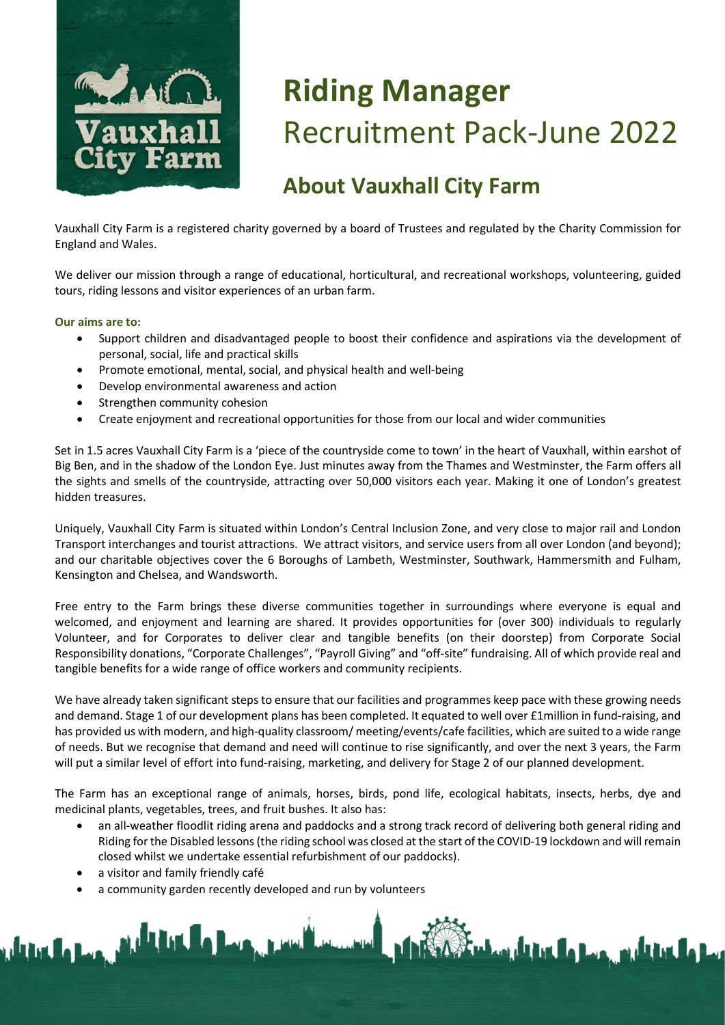

# Riding Manager Recruitment Pack-June 2022

### About Vauxhall City Farm

Vauxhall City Farm is a registered charity governed by a board of Trustees and regulated by the Charity Commission for England and Wales.

We deliver our mission through a range of educational, horticultural, and recreational workshops, volunteering, guided tours, riding lessons and visitor experiences of an urban farm.

Our aims are to:

- Support children and disadvantaged people to boost their confidence and aspirations via the development of personal, social, life and practical skills
- Promote emotional, mental, social, and physical health and well-being
- Develop environmental awareness and action
- Strengthen community cohesion
- Create enjoyment and recreational opportunities for those from our local and wider communities

Set in 1.5 acres Vauxhall City Farm is a 'piece of the countryside come to town' in the heart of Vauxhall, within earshot of Big Ben, and in the shadow of the London Eye. Just minutes away from the Thames and Westminster, the Farm offers all the sights and smells of the countryside, attracting over 50,000 visitors each year. Making it one of London's greatest hidden treasures.

Uniquely, Vauxhall City Farm is situated within London's Central Inclusion Zone, and very close to major rail and London Transport interchanges and tourist attractions. We attract visitors, and service users from all over London (and beyond); and our charitable objectives cover the 6 Boroughs of Lambeth, Westminster, Southwark, Hammersmith and Fulham, Kensington and Chelsea, and Wandsworth.

Free entry to the Farm brings these diverse communities together in surroundings where everyone is equal and welcomed, and enjoyment and learning are shared. It provides opportunities for (over 300) individuals to regularly Volunteer, and for Corporates to deliver clear and tangible benefits (on their doorstep) from Corporate Social Responsibility donations, "Corporate Challenges", "Payroll Giving" and "off-site" fundraising. All of which provide real and tangible benefits for a wide range of office workers and community recipients.

We have already taken significant steps to ensure that our facilities and programmes keep pace with these growing needs and demand. Stage 1 of our development plans has been completed. It equated to well over £1million in fund-raising, and has provided us with modern, and high-quality classroom/ meeting/events/cafe facilities, which are suited to a wide range of needs. But we recognise that demand and need will continue to rise significantly, and over the next 3 years, the Farm will put a similar level of effort into fund-raising, marketing, and delivery for Stage 2 of our planned development.

The Farm has an exceptional range of animals, horses, birds, pond life, ecological habitats, insects, herbs, dye and medicinal plants, vegetables, trees, and fruit bushes. It also has:

 an all-weather floodlit riding arena and paddocks and a strong track record of delivering both general riding and Riding for the Disabled lessons (the riding school was closed at the start of the COVID-19 lockdown and will remain closed whilst we undertake essential refurbishment of our paddocks).

a visitor and family friendly café

<u>ndrive the base, which is the base, recently and a</u>

a community garden recently developed and run by volunteers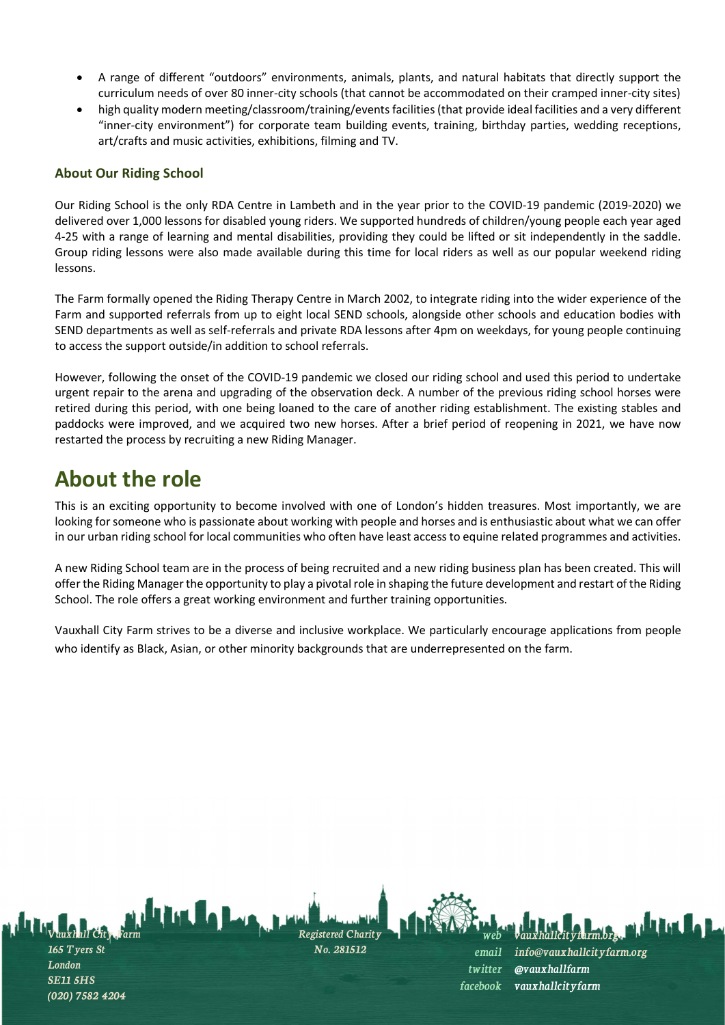- A range of different "outdoors" environments, animals, plants, and natural habitats that directly support the curriculum needs of over 80 inner-city schools (that cannot be accommodated on their cramped inner-city sites)
- high quality modern meeting/classroom/training/events facilities (that provide ideal facilities and a very different "inner-city environment") for corporate team building events, training, birthday parties, wedding receptions, art/crafts and music activities, exhibitions, filming and TV.

#### About Our Riding School

Our Riding School is the only RDA Centre in Lambeth and in the year prior to the COVID-19 pandemic (2019-2020) we delivered over 1,000 lessons for disabled young riders. We supported hundreds of children/young people each year aged 4-25 with a range of learning and mental disabilities, providing they could be lifted or sit independently in the saddle. Group riding lessons were also made available during this time for local riders as well as our popular weekend riding lessons.

The Farm formally opened the Riding Therapy Centre in March 2002, to integrate riding into the wider experience of the Farm and supported referrals from up to eight local SEND schools, alongside other schools and education bodies with SEND departments as well as self-referrals and private RDA lessons after 4pm on weekdays, for young people continuing to access the support outside/in addition to school referrals.

However, following the onset of the COVID-19 pandemic we closed our riding school and used this period to undertake urgent repair to the arena and upgrading of the observation deck. A number of the previous riding school horses were retired during this period, with one being loaned to the care of another riding establishment. The existing stables and paddocks were improved, and we acquired two new horses. After a brief period of reopening in 2021, we have now restarted the process by recruiting a new Riding Manager.

### About the role

(020) 7582 4204

This is an exciting opportunity to become involved with one of London's hidden treasures. Most importantly, we are looking for someone who is passionate about working with people and horses and is enthusiastic about what we can offer in our urban riding school for local communities who often have least access to equine related programmes and activities.

A new Riding School team are in the process of being recruited and a new riding business plan has been created. This will offer the Riding Manager the opportunity to play a pivotal role in shaping the future development and restart of the Riding School. The role offers a great working environment and further training opportunities.

Vauxhall City Farm strives to be a diverse and inclusive workplace. We particularly encourage applications from people who identify as Black, Asian, or other minority backgrounds that are underrepresented on the farm.

Vauxhall City Farm 165 Tyers St London SE11 5HS Registered Charity No. 281512 web vauxhallcityfarm.org. email info@vauxhallcityfarm.org twitter @vauxhallfarm facebook vauxhallcityfarm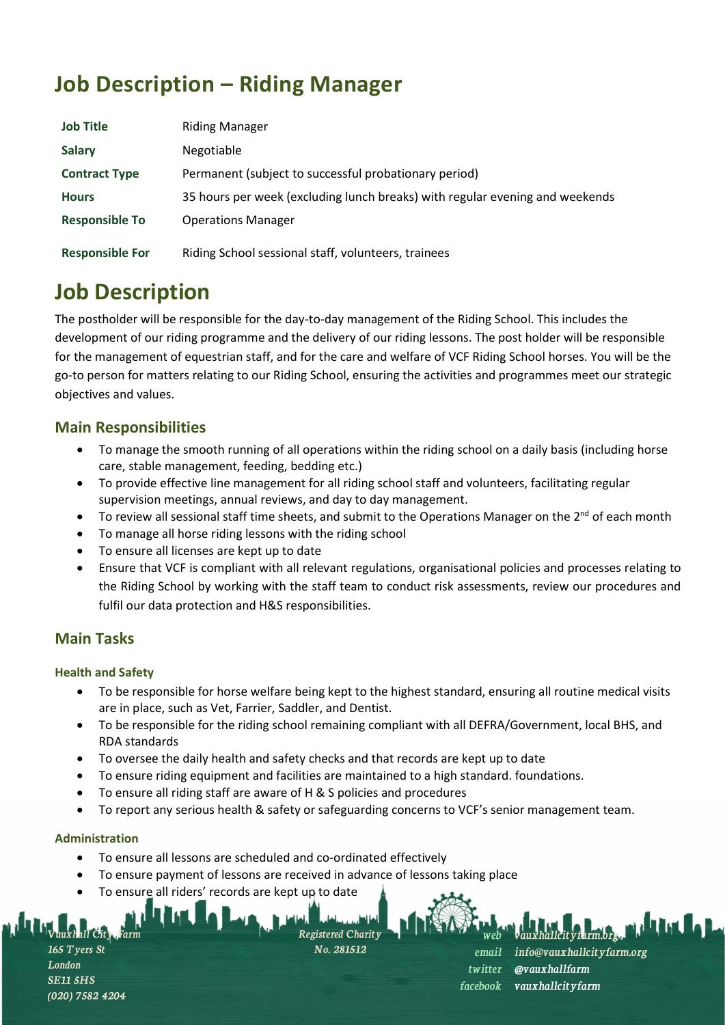# Job Description – Riding Manager

| <b>Job Title</b>       | <b>Riding Manager</b>                                                        |
|------------------------|------------------------------------------------------------------------------|
| <b>Salary</b>          | Negotiable                                                                   |
| <b>Contract Type</b>   | Permanent (subject to successful probationary period)                        |
| <b>Hours</b>           | 35 hours per week (excluding lunch breaks) with regular evening and weekends |
| <b>Responsible To</b>  | <b>Operations Manager</b>                                                    |
| <b>Responsible For</b> | Riding School sessional staff, volunteers, trainees                          |

## Job Description

The postholder will be responsible for the day-to-day management of the Riding School. This includes the development of our riding programme and the delivery of our riding lessons. The post holder will be responsible for the management of equestrian staff, and for the care and welfare of VCF Riding School horses. You will be the go-to person for matters relating to our Riding School, ensuring the activities and programmes meet our strategic objectives and values.

### Main Responsibilities

- To manage the smooth running of all operations within the riding school on a daily basis (including horse care, stable management, feeding, bedding etc.)
- To provide effective line management for all riding school staff and volunteers, facilitating regular supervision meetings, annual reviews, and day to day management.
- To review all sessional staff time sheets, and submit to the Operations Manager on the  $2^{nd}$  of each month
- To manage all horse riding lessons with the riding school
- To ensure all licenses are kept up to date
- Ensure that VCF is compliant with all relevant regulations, organisational policies and processes relating to the Riding School by working with the staff team to conduct risk assessments, review our procedures and fulfil our data protection and H&S responsibilities.

### Main Tasks

#### Health and Safety

- To be responsible for horse welfare being kept to the highest standard, ensuring all routine medical visits are in place, such as Vet, Farrier, Saddler, and Dentist.
- To be responsible for the riding school remaining compliant with all DEFRA/Government, local BHS, and RDA standards
- To oversee the daily health and safety checks and that records are kept up to date
- To ensure riding equipment and facilities are maintained to a high standard. foundations.
- To ensure all riding staff are aware of H & S policies and procedures
- To report any serious health & safety or safeguarding concerns to VCF's senior management team.

#### Administration

- To ensure all lessons are scheduled and co-ordinated effectively
- To ensure payment of lessons are received in advance of lessons taking place
- To ensure all riders' records are kept up to date

stered Charity

No. 281512

web vauxhallcityfarm.org. email info@vauxhallcityfarm.org twitter @vauxhallfarm facebook vauxhallcityfarm

Vauxhall City Farm **Tyers St** London SE11 5HS (020) 7582 4204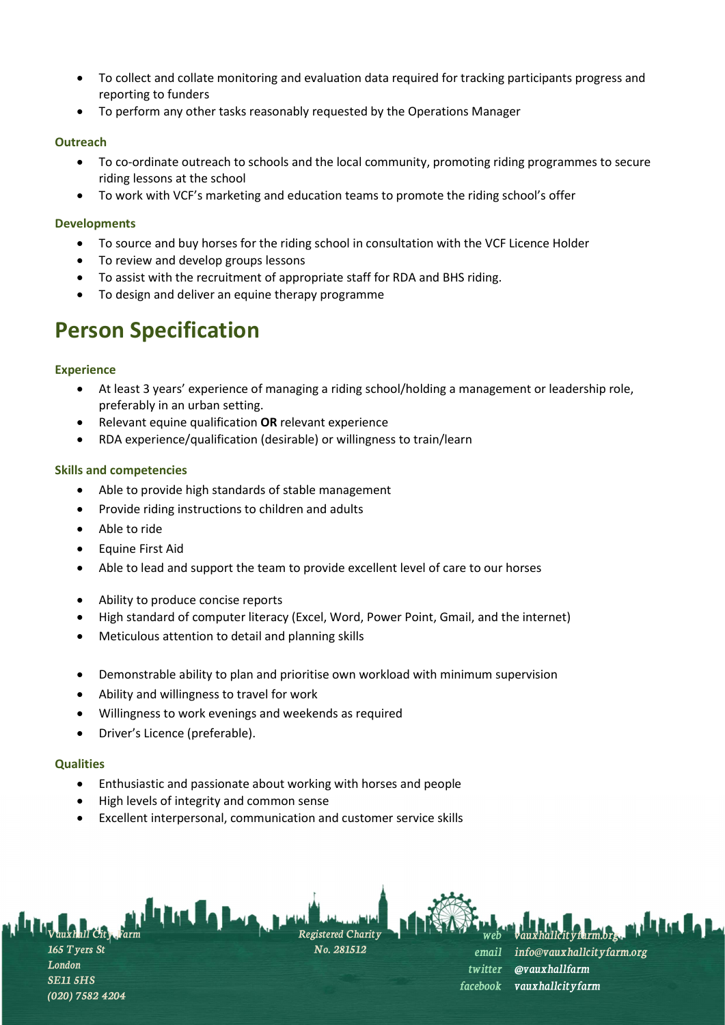- To collect and collate monitoring and evaluation data required for tracking participants progress and reporting to funders
- To perform any other tasks reasonably requested by the Operations Manager

#### **Outreach**

- To co-ordinate outreach to schools and the local community, promoting riding programmes to secure riding lessons at the school
- To work with VCF's marketing and education teams to promote the riding school's offer

#### Developments

- To source and buy horses for the riding school in consultation with the VCF Licence Holder
- To review and develop groups lessons
- To assist with the recruitment of appropriate staff for RDA and BHS riding.
- To design and deliver an equine therapy programme

### Person Specification

#### **Experience**

- At least 3 years' experience of managing a riding school/holding a management or leadership role, preferably in an urban setting.
- Relevant equine qualification OR relevant experience
- RDA experience/qualification (desirable) or willingness to train/learn

#### Skills and competencies

- Able to provide high standards of stable management
- Provide riding instructions to children and adults
- Able to ride
- Equine First Aid
- Able to lead and support the team to provide excellent level of care to our horses
- Ability to produce concise reports
- High standard of computer literacy (Excel, Word, Power Point, Gmail, and the internet)
- Meticulous attention to detail and planning skills
- Demonstrable ability to plan and prioritise own workload with minimum supervision
- Ability and willingness to travel for work
- Willingness to work evenings and weekends as required
- Driver's Licence (preferable).

#### **Qualities**

- Enthusiastic and passionate about working with horses and people
- High levels of integrity and common sense
- Excellent interpersonal, communication and customer service skills

Vauxhall City Farm 165 Tyers St London SE11 5HS (020) 7582 4204

Registered Charity No. 281512



web vauxhallcityfarm.org. email info@vauxhallcityfarm.org twitter @vauxhallfarm facebook vauxhallcityfarm